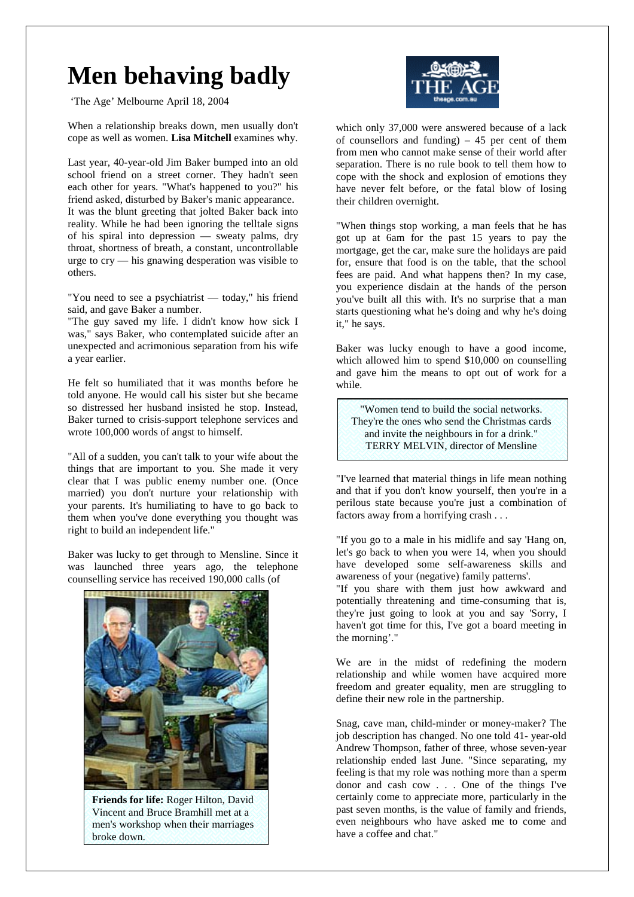## **Men behaving badly**

'The Age' Melbourne April 18, 2004

When a relationship breaks down, men usually don't cope as well as women. **Lisa Mitchell** examines why.

Last year, 40-year-old Jim Baker bumped into an old school friend on a street corner. They hadn't seen each other for years. "What's happened to you?" his friend asked, disturbed by Baker's manic appearance. It was the blunt greeting that jolted Baker back into reality. While he had been ignoring the telltale signs of his spiral into depression — sweaty palms, dry throat, shortness of breath, a constant, uncontrollable urge to cry — his gnawing desperation was visible to others.

"You need to see a psychiatrist — today," his friend said, and gave Baker a number.

"The guy saved my life. I didn't know how sick I was," says Baker, who contemplated suicide after an unexpected and acrimonious separation from his wife a year earlier.

He felt so humiliated that it was months before he told anyone. He would call his sister but she became so distressed her husband insisted he stop. Instead, Baker turned to crisis-support telephone services and wrote 100,000 words of angst to himself.

"All of a sudden, you can't talk to your wife about the things that are important to you. She made it very clear that I was public enemy number one. (Once married) you don't nurture your relationship with your parents. It's humiliating to have to go back to them when you've done everything you thought was right to build an independent life."

Baker was lucky to get through to Mensline. Since it was launched three years ago, the telephone counselling service has received 190,000 calls (of



**Friends for life:** Roger Hilton, David Vincent and Bruce Bramhill met at a men's workshop when their marriages broke down.



which only 37,000 were answered because of a lack of counsellors and funding)  $-45$  per cent of them from men who cannot make sense of their world after separation. There is no rule book to tell them how to cope with the shock and explosion of emotions they have never felt before, or the fatal blow of losing their children overnight.

"When things stop working, a man feels that he has got up at 6am for the past 15 years to pay the mortgage, get the car, make sure the holidays are paid for, ensure that food is on the table, that the school fees are paid. And what happens then? In my case, you experience disdain at the hands of the person you've built all this with. It's no surprise that a man starts questioning what he's doing and why he's doing it," he says.

Baker was lucky enough to have a good income, which allowed him to spend \$10,000 on counselling and gave him the means to opt out of work for a while.

"Women tend to build the social networks. They're the ones who send the Christmas cards and invite the neighbours in for a drink." TERRY MELVIN, director of Mensline

"I've learned that material things in life mean nothing and that if you don't know yourself, then you're in a perilous state because you're just a combination of factors away from a horrifying crash . . .

"If you go to a male in his midlife and say 'Hang on, let's go back to when you were 14, when you should have developed some self-awareness skills and awareness of your (negative) family patterns'.

"If you share with them just how awkward and potentially threatening and time-consuming that is, they're just going to look at you and say 'Sorry, I haven't got time for this, I've got a board meeting in the morning'."

We are in the midst of redefining the modern relationship and while women have acquired more freedom and greater equality, men are struggling to define their new role in the partnership.

Snag, cave man, child-minder or money-maker? The job description has changed. No one told 41- year-old Andrew Thompson, father of three, whose seven-year relationship ended last June. "Since separating, my feeling is that my role was nothing more than a sperm donor and cash cow . . . One of the things I've certainly come to appreciate more, particularly in the past seven months, is the value of family and friends, even neighbours who have asked me to come and have a coffee and chat."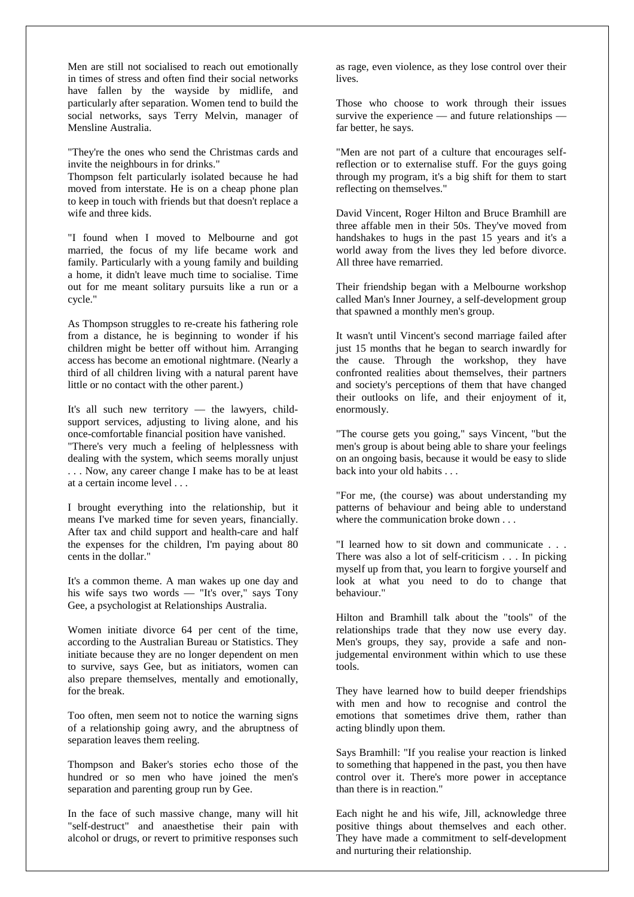Men are still not socialised to reach out emotionally in times of stress and often find their social networks have fallen by the wayside by midlife, and particularly after separation. Women tend to build the social networks, says Terry Melvin, manager of Mensline Australia.

"They're the ones who send the Christmas cards and invite the neighbours in for drinks."

Thompson felt particularly isolated because he had moved from interstate. He is on a cheap phone plan to keep in touch with friends but that doesn't replace a wife and three kids.

"I found when I moved to Melbourne and got married, the focus of my life became work and family. Particularly with a young family and building a home, it didn't leave much time to socialise. Time out for me meant solitary pursuits like a run or a cycle."

As Thompson struggles to re-create his fathering role from a distance, he is beginning to wonder if his children might be better off without him. Arranging access has become an emotional nightmare. (Nearly a third of all children living with a natural parent have little or no contact with the other parent.)

It's all such new territory — the lawyers, childsupport services, adjusting to living alone, and his once-comfortable financial position have vanished.

"There's very much a feeling of helplessness with dealing with the system, which seems morally unjust . . . Now, any career change I make has to be at least at a certain income level . . .

I brought everything into the relationship, but it means I've marked time for seven years, financially. After tax and child support and health-care and half the expenses for the children, I'm paying about 80 cents in the dollar."

It's a common theme. A man wakes up one day and his wife says two words — "It's over," says Tony Gee, a psychologist at Relationships Australia.

Women initiate divorce 64 per cent of the time, according to the Australian Bureau or Statistics. They initiate because they are no longer dependent on men to survive, says Gee, but as initiators, women can also prepare themselves, mentally and emotionally, for the break.

Too often, men seem not to notice the warning signs of a relationship going awry, and the abruptness of separation leaves them reeling.

Thompson and Baker's stories echo those of the hundred or so men who have joined the men's separation and parenting group run by Gee.

In the face of such massive change, many will hit "self-destruct" and anaesthetise their pain with alcohol or drugs, or revert to primitive responses such

as rage, even violence, as they lose control over their lives.

Those who choose to work through their issues survive the experience — and future relationships far better, he says.

"Men are not part of a culture that encourages selfreflection or to externalise stuff. For the guys going through my program, it's a big shift for them to start reflecting on themselves."

David Vincent, Roger Hilton and Bruce Bramhill are three affable men in their 50s. They've moved from handshakes to hugs in the past 15 years and it's a world away from the lives they led before divorce. All three have remarried.

Their friendship began with a Melbourne workshop called Man's Inner Journey, a self-development group that spawned a monthly men's group.

It wasn't until Vincent's second marriage failed after just 15 months that he began to search inwardly for the cause. Through the workshop, they have confronted realities about themselves, their partners and society's perceptions of them that have changed their outlooks on life, and their enjoyment of it, enormously.

"The course gets you going," says Vincent, "but the men's group is about being able to share your feelings on an ongoing basis, because it would be easy to slide back into your old habits . . .

"For me, (the course) was about understanding my patterns of behaviour and being able to understand where the communication broke down . . .

"I learned how to sit down and communicate . . . There was also a lot of self-criticism . . . In picking myself up from that, you learn to forgive yourself and look at what you need to do to change that behaviour."

Hilton and Bramhill talk about the "tools" of the relationships trade that they now use every day. Men's groups, they say, provide a safe and nonjudgemental environment within which to use these tools.

They have learned how to build deeper friendships with men and how to recognise and control the emotions that sometimes drive them, rather than acting blindly upon them.

Says Bramhill: "If you realise your reaction is linked to something that happened in the past, you then have control over it. There's more power in acceptance than there is in reaction."

Each night he and his wife, Jill, acknowledge three positive things about themselves and each other. They have made a commitment to self-development and nurturing their relationship.